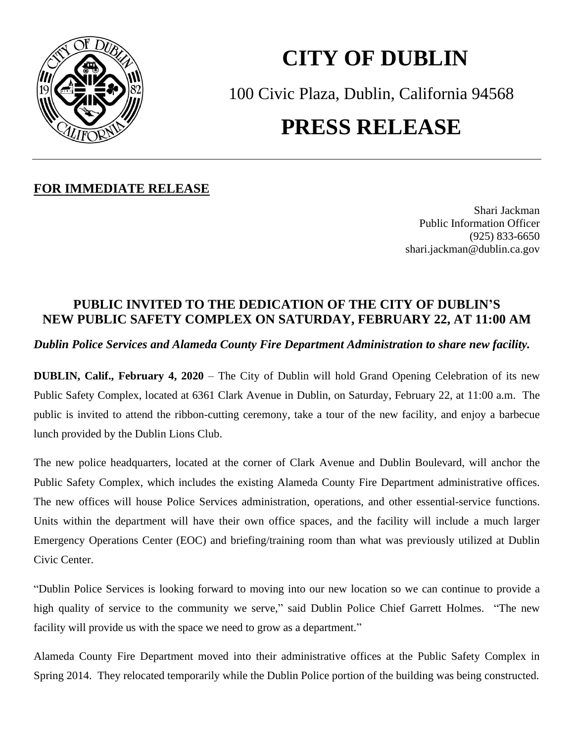

## **CITY OF DUBLIN** 100 Civic Plaza, Dublin, California 94568 **PRESS RELEASE**

## **FOR IMMEDIATE RELEASE**

Shari Jackman Public Information Officer (925) 833-6650 shari.jackman@dublin.ca.gov

## **PUBLIC INVITED TO THE DEDICATION OF THE CITY OF DUBLIN'S NEW PUBLIC SAFETY COMPLEX ON SATURDAY, FEBRUARY 22, AT 11:00 AM**

*Dublin Police Services and Alameda County Fire Department Administration to share new facility.*

**DUBLIN, Calif., February 4, 2020** – The City of Dublin will hold Grand Opening Celebration of its new Public Safety Complex, located at 6361 Clark Avenue in Dublin, on Saturday, February 22, at 11:00 a.m. The public is invited to attend the ribbon-cutting ceremony, take a tour of the new facility, and enjoy a barbecue lunch provided by the Dublin Lions Club.

The new police headquarters, located at the corner of Clark Avenue and Dublin Boulevard, will anchor the Public Safety Complex, which includes the existing Alameda County Fire Department administrative offices. The new offices will house Police Services administration, operations, and other essential-service functions. Units within the department will have their own office spaces, and the facility will include a much larger Emergency Operations Center (EOC) and briefing/training room than what was previously utilized at Dublin Civic Center.

"Dublin Police Services is looking forward to moving into our new location so we can continue to provide a high quality of service to the community we serve," said Dublin Police Chief Garrett Holmes. "The new facility will provide us with the space we need to grow as a department."

Alameda County Fire Department moved into their administrative offices at the Public Safety Complex in Spring 2014. They relocated temporarily while the Dublin Police portion of the building was being constructed.